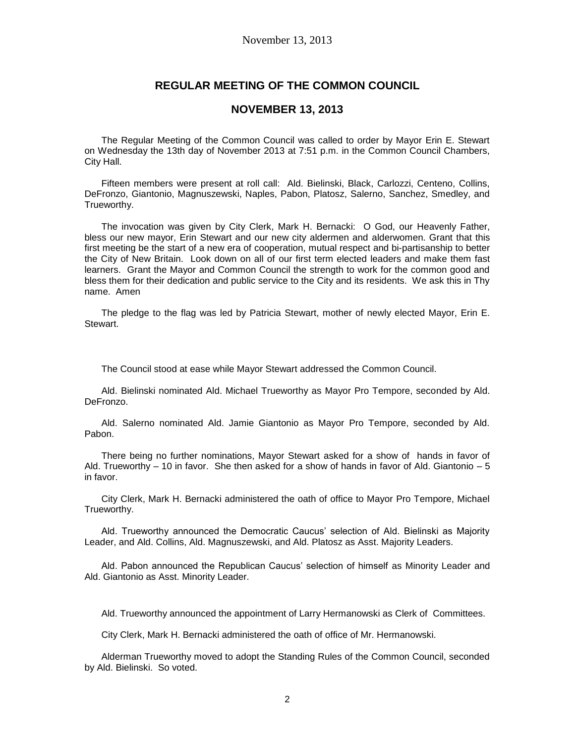## **REGULAR MEETING OF THE COMMON COUNCIL**

## **NOVEMBER 13, 2013**

The Regular Meeting of the Common Council was called to order by Mayor Erin E. Stewart on Wednesday the 13th day of November 2013 at 7:51 p.m. in the Common Council Chambers, City Hall.

Fifteen members were present at roll call: Ald. Bielinski, Black, Carlozzi, Centeno, Collins, DeFronzo, Giantonio, Magnuszewski, Naples, Pabon, Platosz, Salerno, Sanchez, Smedley, and Trueworthy.

The invocation was given by City Clerk, Mark H. Bernacki: O God, our Heavenly Father, bless our new mayor, Erin Stewart and our new city aldermen and alderwomen. Grant that this first meeting be the start of a new era of cooperation, mutual respect and bi-partisanship to better the City of New Britain. Look down on all of our first term elected leaders and make them fast learners. Grant the Mayor and Common Council the strength to work for the common good and bless them for their dedication and public service to the City and its residents. We ask this in Thy name. Amen

The pledge to the flag was led by Patricia Stewart, mother of newly elected Mayor, Erin E. Stewart.

The Council stood at ease while Mayor Stewart addressed the Common Council.

Ald. Bielinski nominated Ald. Michael Trueworthy as Mayor Pro Tempore, seconded by Ald. DeFronzo.

Ald. Salerno nominated Ald. Jamie Giantonio as Mayor Pro Tempore, seconded by Ald. Pabon.

There being no further nominations, Mayor Stewart asked for a show of hands in favor of Ald. Trueworthy – 10 in favor. She then asked for a show of hands in favor of Ald. Giantonio – 5 in favor.

City Clerk, Mark H. Bernacki administered the oath of office to Mayor Pro Tempore, Michael Trueworthy.

Ald. Trueworthy announced the Democratic Caucus' selection of Ald. Bielinski as Majority Leader, and Ald. Collins, Ald. Magnuszewski, and Ald. Platosz as Asst. Majority Leaders.

Ald. Pabon announced the Republican Caucus' selection of himself as Minority Leader and Ald. Giantonio as Asst. Minority Leader.

Ald. Trueworthy announced the appointment of Larry Hermanowski as Clerk of Committees.

City Clerk, Mark H. Bernacki administered the oath of office of Mr. Hermanowski.

Alderman Trueworthy moved to adopt the Standing Rules of the Common Council, seconded by Ald. Bielinski. So voted.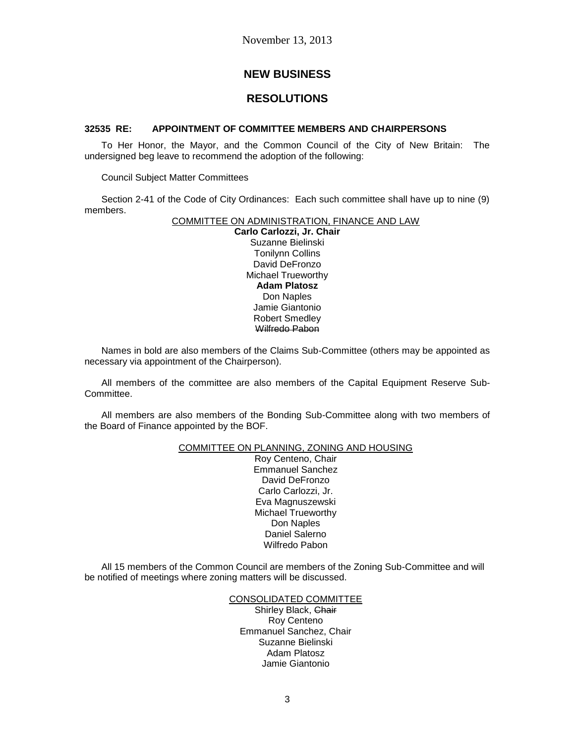# **NEW BUSINESS**

# **RESOLUTIONS**

## **32535 RE: APPOINTMENT OF COMMITTEE MEMBERS AND CHAIRPERSONS**

To Her Honor, the Mayor, and the Common Council of the City of New Britain: The undersigned beg leave to recommend the adoption of the following:

Council Subject Matter Committees

Section 2-41 of the Code of City Ordinances: Each such committee shall have up to nine (9) members.

## COMMITTEE ON ADMINISTRATION, FINANCE AND LAW

**Carlo Carlozzi, Jr. Chair** Suzanne Bielinski Tonilynn Collins David DeFronzo Michael Trueworthy **Adam Platosz** Don Naples Jamie Giantonio Robert Smedley Wilfredo Pabon

Names in bold are also members of the Claims Sub-Committee (others may be appointed as necessary via appointment of the Chairperson).

All members of the committee are also members of the Capital Equipment Reserve Sub-Committee.

All members are also members of the Bonding Sub-Committee along with two members of the Board of Finance appointed by the BOF.

### COMMITTEE ON PLANNING, ZONING AND HOUSING

Roy Centeno, Chair Emmanuel Sanchez David DeFronzo Carlo Carlozzi, Jr. Eva Magnuszewski Michael Trueworthy Don Naples Daniel Salerno Wilfredo Pabon

All 15 members of the Common Council are members of the Zoning Sub-Committee and will be notified of meetings where zoning matters will be discussed.

### CONSOLIDATED COMMITTEE

Shirley Black, Chair Roy Centeno Emmanuel Sanchez, Chair Suzanne Bielinski Adam Platosz Jamie Giantonio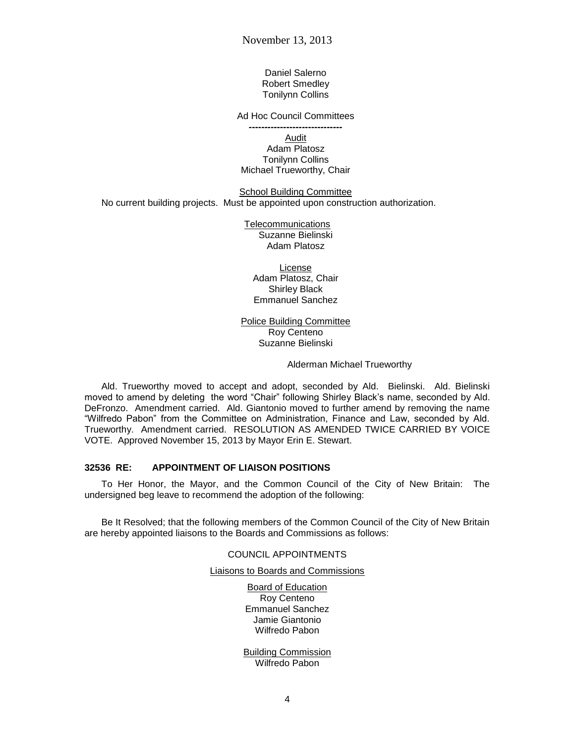Daniel Salerno Robert Smedley Tonilynn Collins

Ad Hoc Council Committees

**------------------------------** Audit

Adam Platosz Tonilynn Collins Michael Trueworthy, Chair

School Building Committee No current building projects. Must be appointed upon construction authorization.

> Telecommunications Suzanne Bielinski Adam Platosz

License Adam Platosz, Chair Shirley Black Emmanuel Sanchez

Police Building Committee Roy Centeno Suzanne Bielinski

Alderman Michael Trueworthy

Ald. Trueworthy moved to accept and adopt, seconded by Ald. Bielinski. Ald. Bielinski moved to amend by deleting the word "Chair" following Shirley Black's name, seconded by Ald. DeFronzo. Amendment carried. Ald. Giantonio moved to further amend by removing the name "Wilfredo Pabon" from the Committee on Administration, Finance and Law, seconded by Ald. Trueworthy. Amendment carried. RESOLUTION AS AMENDED TWICE CARRIED BY VOICE VOTE. Approved November 15, 2013 by Mayor Erin E. Stewart.

#### **32536 RE: APPOINTMENT OF LIAISON POSITIONS**

To Her Honor, the Mayor, and the Common Council of the City of New Britain: The undersigned beg leave to recommend the adoption of the following:

Be It Resolved; that the following members of the Common Council of the City of New Britain are hereby appointed liaisons to the Boards and Commissions as follows:

### COUNCIL APPOINTMENTS

#### Liaisons to Boards and Commissions

Board of Education Roy Centeno Emmanuel Sanchez Jamie Giantonio Wilfredo Pabon

Building Commission Wilfredo Pabon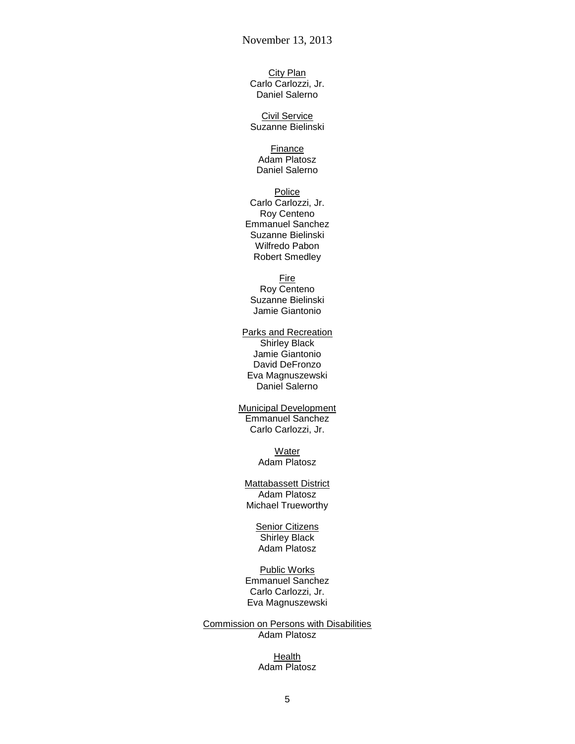City Plan Carlo Carlozzi, Jr. Daniel Salerno

Civil Service Suzanne Bielinski

Finance Adam Platosz Daniel Salerno

#### Police Carlo Carlozzi, Jr. Roy Centeno Emmanuel Sanchez Suzanne Bielinski Wilfredo Pabon Robert Smedley

**Fire** Roy Centeno Suzanne Bielinski Jamie Giantonio

Parks and Recreation Shirley Black Jamie Giantonio David DeFronzo Eva Magnuszewski Daniel Salerno

Municipal Development Emmanuel Sanchez Carlo Carlozzi, Jr.

> **Water** Adam Platosz

Mattabassett District Adam Platosz Michael Trueworthy

> **Senior Citizens** Shirley Black Adam Platosz

Public Works Emmanuel Sanchez Carlo Carlozzi, Jr. Eva Magnuszewski

Commission on Persons with Disabilities Adam Platosz

> Health Adam Platosz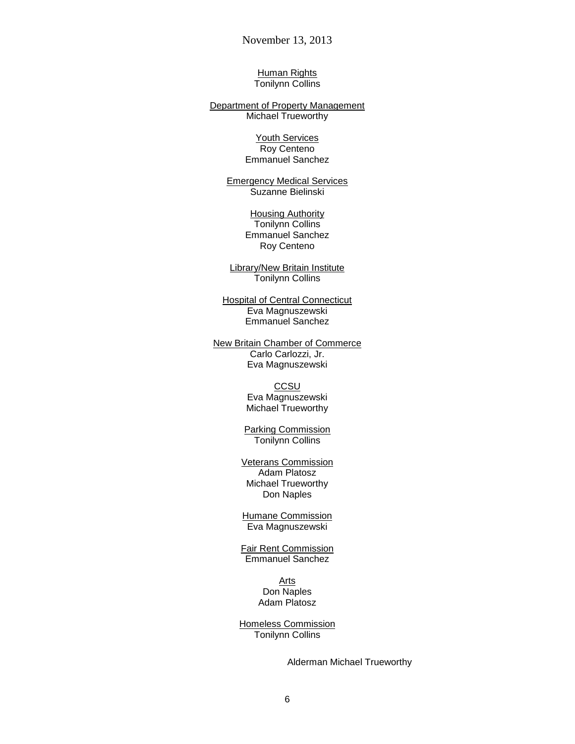Human Rights Tonilynn Collins

Department of Property Management Michael Trueworthy

> Youth Services Roy Centeno Emmanuel Sanchez

Emergency Medical Services Suzanne Bielinski

> **Housing Authority** Tonilynn Collins Emmanuel Sanchez Roy Centeno

Library/New Britain Institute Tonilynn Collins

**Hospital of Central Connecticut** Eva Magnuszewski Emmanuel Sanchez

New Britain Chamber of Commerce Carlo Carlozzi, Jr. Eva Magnuszewski

> **CCSU** Eva Magnuszewski Michael Trueworthy

Parking Commission Tonilynn Collins

Veterans Commission Adam Platosz Michael Trueworthy Don Naples

Humane Commission Eva Magnuszewski

Fair Rent Commission Emmanuel Sanchez

> Arts Don Naples Adam Platosz

Homeless Commission Tonilynn Collins

Alderman Michael Trueworthy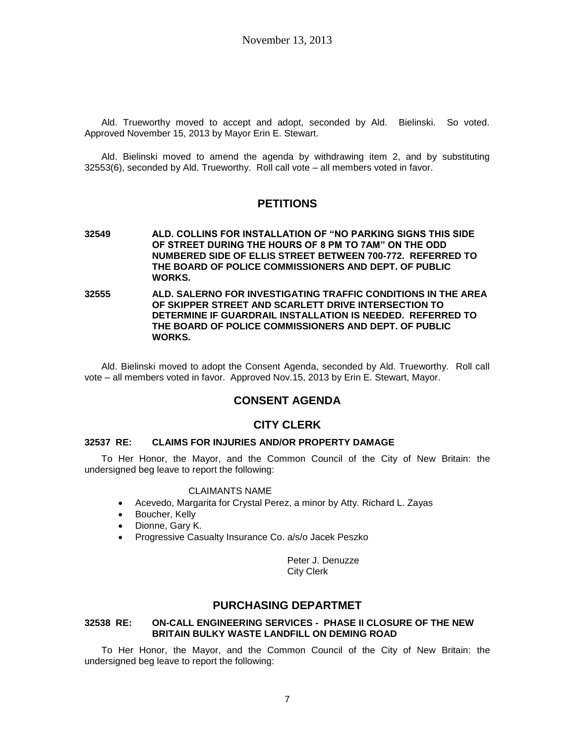Ald. Trueworthy moved to accept and adopt, seconded by Ald. Bielinski. So voted. Approved November 15, 2013 by Mayor Erin E. Stewart.

Ald. Bielinski moved to amend the agenda by withdrawing item 2, and by substituting 32553(6), seconded by Ald. Trueworthy. Roll call vote – all members voted in favor.

# **PETITIONS**

- **32549 ALD. COLLINS FOR INSTALLATION OF "NO PARKING SIGNS THIS SIDE OF STREET DURING THE HOURS OF 8 PM TO 7AM" ON THE ODD NUMBERED SIDE OF ELLIS STREET BETWEEN 700-772. REFERRED TO THE BOARD OF POLICE COMMISSIONERS AND DEPT. OF PUBLIC WORKS.**
- **32555 ALD. SALERNO FOR INVESTIGATING TRAFFIC CONDITIONS IN THE AREA OF SKIPPER STREET AND SCARLETT DRIVE INTERSECTION TO DETERMINE IF GUARDRAIL INSTALLATION IS NEEDED. REFERRED TO THE BOARD OF POLICE COMMISSIONERS AND DEPT. OF PUBLIC WORKS.**

Ald. Bielinski moved to adopt the Consent Agenda, seconded by Ald. Trueworthy. Roll call vote – all members voted in favor. Approved Nov.15, 2013 by Erin E. Stewart, Mayor.

# **CONSENT AGENDA**

## **CITY CLERK**

### **32537 RE: CLAIMS FOR INJURIES AND/OR PROPERTY DAMAGE**

To Her Honor, the Mayor, and the Common Council of the City of New Britain: the undersigned beg leave to report the following:

#### CLAIMANTS NAME

- Acevedo, Margarita for Crystal Perez, a minor by Atty. Richard L. Zayas
- Boucher, Kelly
- Dionne, Gary K.
- Progressive Casualty Insurance Co. a/s/o Jacek Peszko

Peter J. Denuzze City Clerk

# **PURCHASING DEPARTMET**

#### **32538 RE: ON-CALL ENGINEERING SERVICES - PHASE II CLOSURE OF THE NEW BRITAIN BULKY WASTE LANDFILL ON DEMING ROAD**

To Her Honor, the Mayor, and the Common Council of the City of New Britain: the undersigned beg leave to report the following: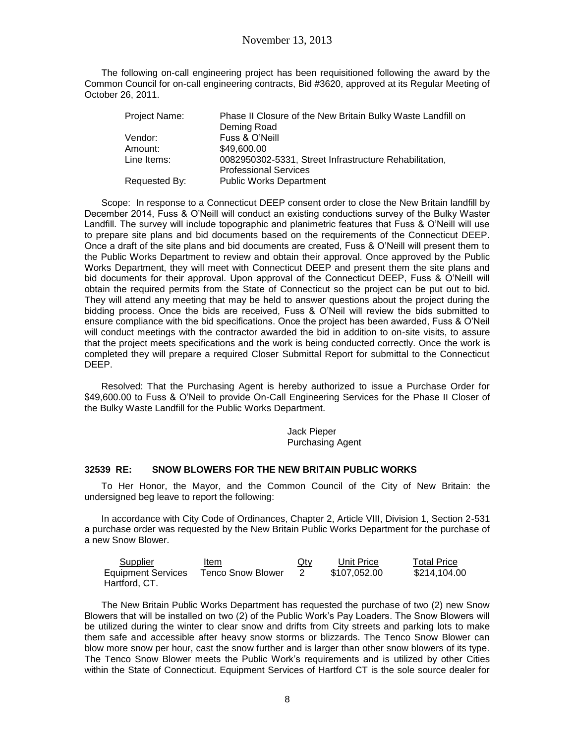The following on-call engineering project has been requisitioned following the award by the Common Council for on-call engineering contracts, Bid #3620, approved at its Regular Meeting of October 26, 2011.

| Project Name: | Phase II Closure of the New Britain Bulky Waste Landfill on |
|---------------|-------------------------------------------------------------|
|               | Deming Road                                                 |
| Vendor:       | Fuss & O'Neill                                              |
| Amount:       | \$49,600.00                                                 |
| Line Items:   | 0082950302-5331, Street Infrastructure Rehabilitation,      |
|               | <b>Professional Services</b>                                |
| Requested By: | <b>Public Works Department</b>                              |

Scope: In response to a Connecticut DEEP consent order to close the New Britain landfill by December 2014, Fuss & O'Neill will conduct an existing conductions survey of the Bulky Waster Landfill. The survey will include topographic and planimetric features that Fuss & O'Neill will use to prepare site plans and bid documents based on the requirements of the Connecticut DEEP. Once a draft of the site plans and bid documents are created, Fuss & O'Neill will present them to the Public Works Department to review and obtain their approval. Once approved by the Public Works Department, they will meet with Connecticut DEEP and present them the site plans and bid documents for their approval. Upon approval of the Connecticut DEEP, Fuss & O'Neill will obtain the required permits from the State of Connecticut so the project can be put out to bid. They will attend any meeting that may be held to answer questions about the project during the bidding process. Once the bids are received, Fuss & O'Neil will review the bids submitted to ensure compliance with the bid specifications. Once the project has been awarded, Fuss & O'Neil will conduct meetings with the contractor awarded the bid in addition to on-site visits, to assure that the project meets specifications and the work is being conducted correctly. Once the work is completed they will prepare a required Closer Submittal Report for submittal to the Connecticut DEEP.

Resolved: That the Purchasing Agent is hereby authorized to issue a Purchase Order for \$49,600.00 to Fuss & O'Neil to provide On-Call Engineering Services for the Phase II Closer of the Bulky Waste Landfill for the Public Works Department.

> Jack Pieper Purchasing Agent

## **32539 RE: SNOW BLOWERS FOR THE NEW BRITAIN PUBLIC WORKS**

To Her Honor, the Mayor, and the Common Council of the City of New Britain: the undersigned beg leave to report the following:

In accordance with City Code of Ordinances, Chapter 2, Article VIII, Division 1, Section 2-531 a purchase order was requested by the New Britain Public Works Department for the purchase of a new Snow Blower.

| Supplier                  | Item              | <u>Qty</u> | Unit Price   | <b>Total Price</b> |
|---------------------------|-------------------|------------|--------------|--------------------|
| <b>Equipment Services</b> | Tenco Snow Blower |            | \$107.052.00 | \$214,104.00       |
| Hartford, CT.             |                   |            |              |                    |

The New Britain Public Works Department has requested the purchase of two (2) new Snow Blowers that will be installed on two (2) of the Public Work's Pay Loaders. The Snow Blowers will be utilized during the winter to clear snow and drifts from City streets and parking lots to make them safe and accessible after heavy snow storms or blizzards. The Tenco Snow Blower can blow more snow per hour, cast the snow further and is larger than other snow blowers of its type. The Tenco Snow Blower meets the Public Work's requirements and is utilized by other Cities within the State of Connecticut. Equipment Services of Hartford CT is the sole source dealer for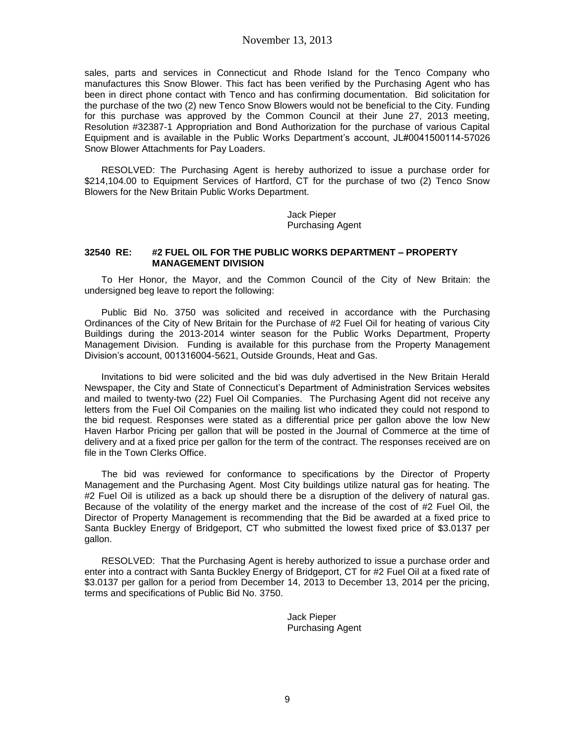sales, parts and services in Connecticut and Rhode Island for the Tenco Company who manufactures this Snow Blower. This fact has been verified by the Purchasing Agent who has been in direct phone contact with Tenco and has confirming documentation. Bid solicitation for the purchase of the two (2) new Tenco Snow Blowers would not be beneficial to the City. Funding for this purchase was approved by the Common Council at their June 27, 2013 meeting, Resolution #32387-1 Appropriation and Bond Authorization for the purchase of various Capital Equipment and is available in the Public Works Department's account, JL#0041500114-57026 Snow Blower Attachments for Pay Loaders.

RESOLVED: The Purchasing Agent is hereby authorized to issue a purchase order for \$214,104.00 to Equipment Services of Hartford, CT for the purchase of two (2) Tenco Snow Blowers for the New Britain Public Works Department.

> Jack Pieper Purchasing Agent

### **32540 RE: #2 FUEL OIL FOR THE PUBLIC WORKS DEPARTMENT – PROPERTY MANAGEMENT DIVISION**

To Her Honor, the Mayor, and the Common Council of the City of New Britain: the undersigned beg leave to report the following:

Public Bid No. 3750 was solicited and received in accordance with the Purchasing Ordinances of the City of New Britain for the Purchase of #2 Fuel Oil for heating of various City Buildings during the 2013-2014 winter season for the Public Works Department, Property Management Division. Funding is available for this purchase from the Property Management Division's account, 001316004-5621, Outside Grounds, Heat and Gas.

Invitations to bid were solicited and the bid was duly advertised in the New Britain Herald Newspaper, the City and State of Connecticut's Department of Administration Services websites and mailed to twenty-two (22) Fuel Oil Companies. The Purchasing Agent did not receive any letters from the Fuel Oil Companies on the mailing list who indicated they could not respond to the bid request. Responses were stated as a differential price per gallon above the low New Haven Harbor Pricing per gallon that will be posted in the Journal of Commerce at the time of delivery and at a fixed price per gallon for the term of the contract. The responses received are on file in the Town Clerks Office.

The bid was reviewed for conformance to specifications by the Director of Property Management and the Purchasing Agent. Most City buildings utilize natural gas for heating. The #2 Fuel Oil is utilized as a back up should there be a disruption of the delivery of natural gas. Because of the volatility of the energy market and the increase of the cost of #2 Fuel Oil, the Director of Property Management is recommending that the Bid be awarded at a fixed price to Santa Buckley Energy of Bridgeport, CT who submitted the lowest fixed price of \$3.0137 per gallon.

RESOLVED: That the Purchasing Agent is hereby authorized to issue a purchase order and enter into a contract with Santa Buckley Energy of Bridgeport, CT for #2 Fuel Oil at a fixed rate of \$3.0137 per gallon for a period from December 14, 2013 to December 13, 2014 per the pricing, terms and specifications of Public Bid No. 3750.

> Jack Pieper Purchasing Agent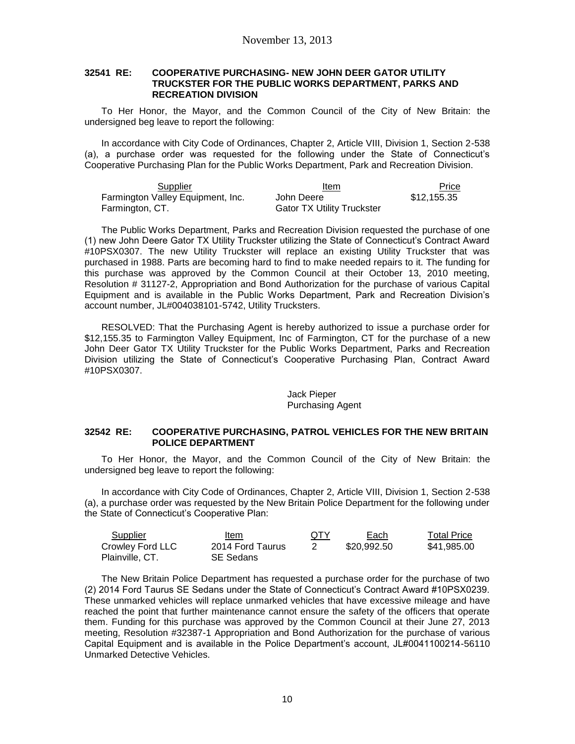#### **32541 RE: COOPERATIVE PURCHASING- NEW JOHN DEER GATOR UTILITY TRUCKSTER FOR THE PUBLIC WORKS DEPARTMENT, PARKS AND RECREATION DIVISION**

To Her Honor, the Mayor, and the Common Council of the City of New Britain: the undersigned beg leave to report the following:

In accordance with City Code of Ordinances, Chapter 2, Article VIII, Division 1, Section 2-538 (a), a purchase order was requested for the following under the State of Connecticut's Cooperative Purchasing Plan for the Public Works Department, Park and Recreation Division.

| Supplier                          | Item                              | Price       |
|-----------------------------------|-----------------------------------|-------------|
| Farmington Valley Equipment, Inc. | John Deere                        | \$12.155.35 |
| Farmington, CT.                   | <b>Gator TX Utility Truckster</b> |             |

The Public Works Department, Parks and Recreation Division requested the purchase of one (1) new John Deere Gator TX Utility Truckster utilizing the State of Connecticut's Contract Award #10PSX0307. The new Utility Truckster will replace an existing Utility Truckster that was purchased in 1988. Parts are becoming hard to find to make needed repairs to it. The funding for this purchase was approved by the Common Council at their October 13, 2010 meeting, Resolution # 31127-2, Appropriation and Bond Authorization for the purchase of various Capital Equipment and is available in the Public Works Department, Park and Recreation Division's account number, JL#004038101-5742, Utility Trucksters.

RESOLVED: That the Purchasing Agent is hereby authorized to issue a purchase order for \$12,155.35 to Farmington Valley Equipment, Inc of Farmington, CT for the purchase of a new John Deer Gator TX Utility Truckster for the Public Works Department, Parks and Recreation Division utilizing the State of Connecticut's Cooperative Purchasing Plan, Contract Award #10PSX0307.

### Jack Pieper Purchasing Agent

#### **32542 RE: COOPERATIVE PURCHASING, PATROL VEHICLES FOR THE NEW BRITAIN POLICE DEPARTMENT**

To Her Honor, the Mayor, and the Common Council of the City of New Britain: the undersigned beg leave to report the following:

In accordance with City Code of Ordinances, Chapter 2, Article VIII, Division 1, Section 2-538 (a), a purchase order was requested by the New Britain Police Department for the following under the State of Connecticut's Cooperative Plan:

| Supplier         | Item             | <b>QTY</b> | Each        | <b>Total Price</b> |
|------------------|------------------|------------|-------------|--------------------|
| Crowley Ford LLC | 2014 Ford Taurus |            | \$20.992.50 | \$41.985.00        |
| Plainville, CT.  | SE Sedans        |            |             |                    |

The New Britain Police Department has requested a purchase order for the purchase of two (2) 2014 Ford Taurus SE Sedans under the State of Connecticut's Contract Award #10PSX0239. These unmarked vehicles will replace unmarked vehicles that have excessive mileage and have reached the point that further maintenance cannot ensure the safety of the officers that operate them. Funding for this purchase was approved by the Common Council at their June 27, 2013 meeting, Resolution #32387-1 Appropriation and Bond Authorization for the purchase of various Capital Equipment and is available in the Police Department's account, JL#0041100214-56110 Unmarked Detective Vehicles.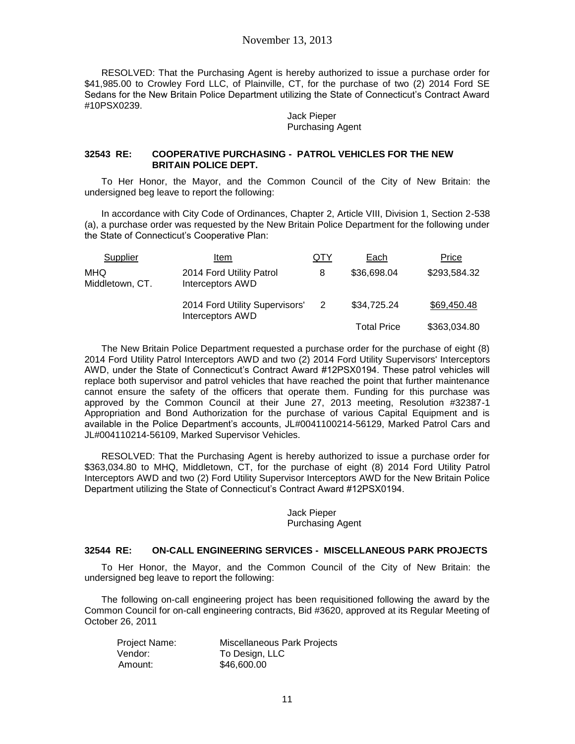RESOLVED: That the Purchasing Agent is hereby authorized to issue a purchase order for \$41,985.00 to Crowley Ford LLC, of Plainville, CT, for the purchase of two (2) 2014 Ford SE Sedans for the New Britain Police Department utilizing the State of Connecticut's Contract Award #10PSX0239.

> Jack Pieper Purchasing Agent

#### **32543 RE: COOPERATIVE PURCHASING - PATROL VEHICLES FOR THE NEW BRITAIN POLICE DEPT.**

To Her Honor, the Mayor, and the Common Council of the City of New Britain: the undersigned beg leave to report the following:

In accordance with City Code of Ordinances, Chapter 2, Article VIII, Division 1, Section 2-538 (a), a purchase order was requested by the New Britain Police Department for the following under the State of Connecticut's Cooperative Plan:

| Supplier               | Item                                               | QTY | Each               | Price        |
|------------------------|----------------------------------------------------|-----|--------------------|--------------|
| MHQ<br>Middletown, CT. | 2014 Ford Utility Patrol<br>Interceptors AWD       | 8   | \$36,698.04        | \$293,584.32 |
|                        | 2014 Ford Utility Supervisors'<br>Interceptors AWD |     | \$34,725.24        | \$69,450.48  |
|                        |                                                    |     | <b>Total Price</b> | \$363,034.80 |

The New Britain Police Department requested a purchase order for the purchase of eight (8) 2014 Ford Utility Patrol Interceptors AWD and two (2) 2014 Ford Utility Supervisors' Interceptors AWD, under the State of Connecticut's Contract Award #12PSX0194. These patrol vehicles will replace both supervisor and patrol vehicles that have reached the point that further maintenance cannot ensure the safety of the officers that operate them. Funding for this purchase was approved by the Common Council at their June 27, 2013 meeting, Resolution #32387-1 Appropriation and Bond Authorization for the purchase of various Capital Equipment and is available in the Police Department's accounts, JL#0041100214-56129, Marked Patrol Cars and JL#004110214-56109, Marked Supervisor Vehicles.

RESOLVED: That the Purchasing Agent is hereby authorized to issue a purchase order for \$363,034.80 to MHQ, Middletown, CT, for the purchase of eight (8) 2014 Ford Utility Patrol Interceptors AWD and two (2) Ford Utility Supervisor Interceptors AWD for the New Britain Police Department utilizing the State of Connecticut's Contract Award #12PSX0194.

## Jack Pieper Purchasing Agent

#### **32544 RE: ON-CALL ENGINEERING SERVICES - MISCELLANEOUS PARK PROJECTS**

To Her Honor, the Mayor, and the Common Council of the City of New Britain: the undersigned beg leave to report the following:

The following on-call engineering project has been requisitioned following the award by the Common Council for on-call engineering contracts, Bid #3620, approved at its Regular Meeting of October 26, 2011

| Project Name: | Miscellaneous Park Projects |
|---------------|-----------------------------|
| Vendor:       | To Design, LLC              |
| Amount:       | \$46,600.00                 |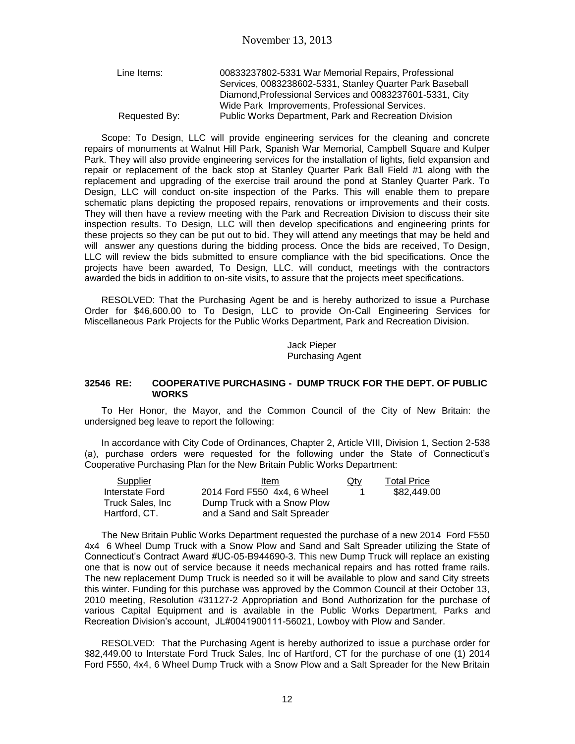| Line Items:   | 00833237802-5331 War Memorial Repairs, Professional      |
|---------------|----------------------------------------------------------|
|               | Services, 0083238602-5331, Stanley Quarter Park Baseball |
|               | Diamond, Professional Services and 0083237601-5331, City |
|               | Wide Park Improvements, Professional Services.           |
| Requested By: | Public Works Department, Park and Recreation Division    |

Scope: To Design, LLC will provide engineering services for the cleaning and concrete repairs of monuments at Walnut Hill Park, Spanish War Memorial, Campbell Square and Kulper Park. They will also provide engineering services for the installation of lights, field expansion and repair or replacement of the back stop at Stanley Quarter Park Ball Field #1 along with the replacement and upgrading of the exercise trail around the pond at Stanley Quarter Park. To Design, LLC will conduct on-site inspection of the Parks. This will enable them to prepare schematic plans depicting the proposed repairs, renovations or improvements and their costs. They will then have a review meeting with the Park and Recreation Division to discuss their site inspection results. To Design, LLC will then develop specifications and engineering prints for these projects so they can be put out to bid. They will attend any meetings that may be held and will answer any questions during the bidding process. Once the bids are received, To Design, LLC will review the bids submitted to ensure compliance with the bid specifications. Once the projects have been awarded, To Design, LLC. will conduct, meetings with the contractors awarded the bids in addition to on-site visits, to assure that the projects meet specifications.

RESOLVED: That the Purchasing Agent be and is hereby authorized to issue a Purchase Order for \$46,600.00 to To Design, LLC to provide On-Call Engineering Services for Miscellaneous Park Projects for the Public Works Department, Park and Recreation Division.

> Jack Pieper Purchasing Agent

#### **32546 RE: COOPERATIVE PURCHASING - DUMP TRUCK FOR THE DEPT. OF PUBLIC WORKS**

To Her Honor, the Mayor, and the Common Council of the City of New Britain: the undersigned beg leave to report the following:

In accordance with City Code of Ordinances, Chapter 2, Article VIII, Division 1, Section 2-538 (a), purchase orders were requested for the following under the State of Connecticut's Cooperative Purchasing Plan for the New Britain Public Works Department:

| Supplier          | Item                         | Qty | <b>Total Price</b> |
|-------------------|------------------------------|-----|--------------------|
| Interstate Ford   | 2014 Ford F550 4x4, 6 Wheel  |     | \$82,449.00        |
| Truck Sales, Inc. | Dump Truck with a Snow Plow  |     |                    |
| Hartford, CT.     | and a Sand and Salt Spreader |     |                    |

The New Britain Public Works Department requested the purchase of a new 2014 Ford F550 4x4 6 Wheel Dump Truck with a Snow Plow and Sand and Salt Spreader utilizing the State of Connecticut's Contract Award #UC-05-B944690-3. This new Dump Truck will replace an existing one that is now out of service because it needs mechanical repairs and has rotted frame rails. The new replacement Dump Truck is needed so it will be available to plow and sand City streets this winter. Funding for this purchase was approved by the Common Council at their October 13, 2010 meeting, Resolution #31127-2 Appropriation and Bond Authorization for the purchase of various Capital Equipment and is available in the Public Works Department, Parks and Recreation Division's account, JL#0041900111-56021, Lowboy with Plow and Sander.

RESOLVED: That the Purchasing Agent is hereby authorized to issue a purchase order for \$82,449.00 to Interstate Ford Truck Sales, Inc of Hartford, CT for the purchase of one (1) 2014 Ford F550, 4x4, 6 Wheel Dump Truck with a Snow Plow and a Salt Spreader for the New Britain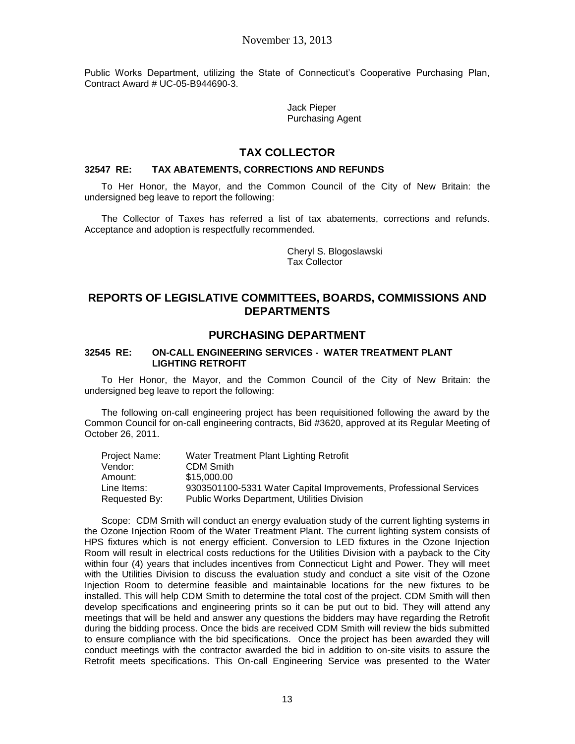Public Works Department, utilizing the State of Connecticut's Cooperative Purchasing Plan, Contract Award # UC-05-B944690-3.

> Jack Pieper Purchasing Agent

# **TAX COLLECTOR**

## **32547 RE: TAX ABATEMENTS, CORRECTIONS AND REFUNDS**

To Her Honor, the Mayor, and the Common Council of the City of New Britain: the undersigned beg leave to report the following:

The Collector of Taxes has referred a list of tax abatements, corrections and refunds. Acceptance and adoption is respectfully recommended.

> Cheryl S. Blogoslawski Tax Collector

# **REPORTS OF LEGISLATIVE COMMITTEES, BOARDS, COMMISSIONS AND DEPARTMENTS**

# **PURCHASING DEPARTMENT**

## **32545 RE: ON-CALL ENGINEERING SERVICES - WATER TREATMENT PLANT LIGHTING RETROFIT**

To Her Honor, the Mayor, and the Common Council of the City of New Britain: the undersigned beg leave to report the following:

The following on-call engineering project has been requisitioned following the award by the Common Council for on-call engineering contracts, Bid #3620, approved at its Regular Meeting of October 26, 2011.

| Project Name: | Water Treatment Plant Lighting Retrofit                           |
|---------------|-------------------------------------------------------------------|
| Vendor:       | CDM Smith                                                         |
| Amount:       | \$15,000,00                                                       |
| Line Items:   | 9303501100-5331 Water Capital Improvements, Professional Services |
| Requested By: | <b>Public Works Department, Utilities Division</b>                |

Scope: CDM Smith will conduct an energy evaluation study of the current lighting systems in the Ozone Injection Room of the Water Treatment Plant. The current lighting system consists of HPS fixtures which is not energy efficient. Conversion to LED fixtures in the Ozone Injection Room will result in electrical costs reductions for the Utilities Division with a payback to the City within four (4) years that includes incentives from Connecticut Light and Power. They will meet with the Utilities Division to discuss the evaluation study and conduct a site visit of the Ozone Injection Room to determine feasible and maintainable locations for the new fixtures to be installed. This will help CDM Smith to determine the total cost of the project. CDM Smith will then develop specifications and engineering prints so it can be put out to bid. They will attend any meetings that will be held and answer any questions the bidders may have regarding the Retrofit during the bidding process. Once the bids are received CDM Smith will review the bids submitted to ensure compliance with the bid specifications. Once the project has been awarded they will conduct meetings with the contractor awarded the bid in addition to on-site visits to assure the Retrofit meets specifications. This On-call Engineering Service was presented to the Water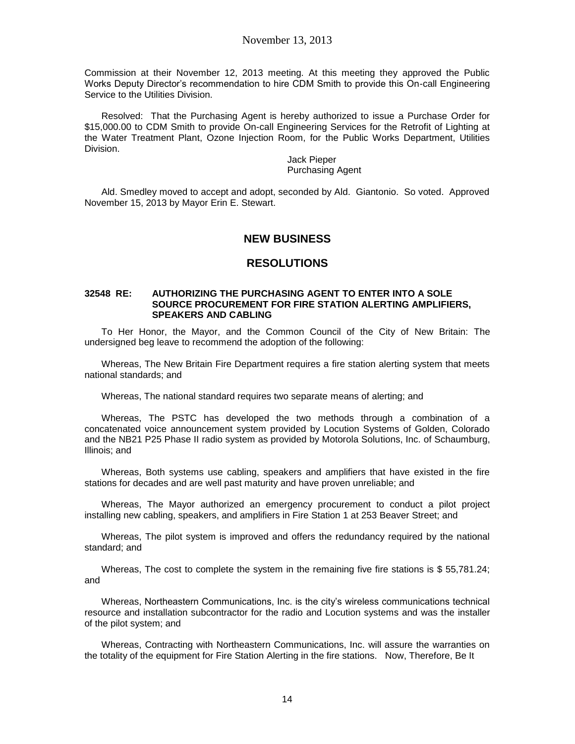Commission at their November 12, 2013 meeting. At this meeting they approved the Public Works Deputy Director's recommendation to hire CDM Smith to provide this On-call Engineering Service to the Utilities Division.

Resolved: That the Purchasing Agent is hereby authorized to issue a Purchase Order for \$15,000.00 to CDM Smith to provide On-call Engineering Services for the Retrofit of Lighting at the Water Treatment Plant, Ozone Injection Room, for the Public Works Department, Utilities Division.

> Jack Pieper Purchasing Agent

Ald. Smedley moved to accept and adopt, seconded by Ald. Giantonio. So voted. Approved November 15, 2013 by Mayor Erin E. Stewart.

# **NEW BUSINESS**

## **RESOLUTIONS**

#### **32548 RE: AUTHORIZING THE PURCHASING AGENT TO ENTER INTO A SOLE SOURCE PROCUREMENT FOR FIRE STATION ALERTING AMPLIFIERS, SPEAKERS AND CABLING**

To Her Honor, the Mayor, and the Common Council of the City of New Britain: The undersigned beg leave to recommend the adoption of the following:

Whereas, The New Britain Fire Department requires a fire station alerting system that meets national standards; and

Whereas, The national standard requires two separate means of alerting; and

Whereas, The PSTC has developed the two methods through a combination of a concatenated voice announcement system provided by Locution Systems of Golden, Colorado and the NB21 P25 Phase II radio system as provided by Motorola Solutions, Inc. of Schaumburg, Illinois; and

Whereas, Both systems use cabling, speakers and amplifiers that have existed in the fire stations for decades and are well past maturity and have proven unreliable; and

Whereas, The Mayor authorized an emergency procurement to conduct a pilot project installing new cabling, speakers, and amplifiers in Fire Station 1 at 253 Beaver Street; and

Whereas, The pilot system is improved and offers the redundancy required by the national standard; and

Whereas, The cost to complete the system in the remaining five fire stations is \$ 55,781.24; and

Whereas, Northeastern Communications, Inc. is the city's wireless communications technical resource and installation subcontractor for the radio and Locution systems and was the installer of the pilot system; and

Whereas, Contracting with Northeastern Communications, Inc. will assure the warranties on the totality of the equipment for Fire Station Alerting in the fire stations. Now, Therefore, Be It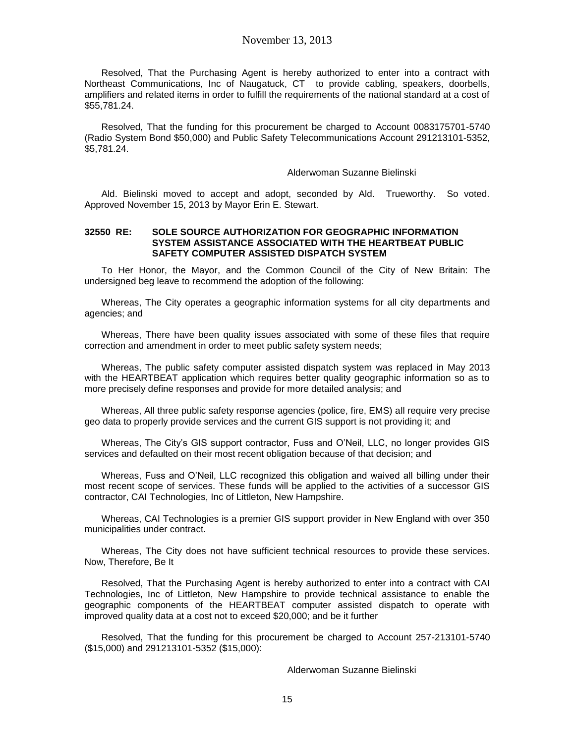Resolved, That the Purchasing Agent is hereby authorized to enter into a contract with Northeast Communications, Inc of Naugatuck, CT to provide cabling, speakers, doorbells, amplifiers and related items in order to fulfill the requirements of the national standard at a cost of \$55,781.24.

Resolved, That the funding for this procurement be charged to Account 0083175701-5740 (Radio System Bond \$50,000) and Public Safety Telecommunications Account 291213101-5352, \$5,781.24.

#### Alderwoman Suzanne Bielinski

Ald. Bielinski moved to accept and adopt, seconded by Ald. Trueworthy. So voted. Approved November 15, 2013 by Mayor Erin E. Stewart.

#### **32550 RE: SOLE SOURCE AUTHORIZATION FOR GEOGRAPHIC INFORMATION SYSTEM ASSISTANCE ASSOCIATED WITH THE HEARTBEAT PUBLIC SAFETY COMPUTER ASSISTED DISPATCH SYSTEM**

To Her Honor, the Mayor, and the Common Council of the City of New Britain: The undersigned beg leave to recommend the adoption of the following:

Whereas, The City operates a geographic information systems for all city departments and agencies; and

Whereas, There have been quality issues associated with some of these files that require correction and amendment in order to meet public safety system needs;

Whereas, The public safety computer assisted dispatch system was replaced in May 2013 with the HEARTBEAT application which requires better quality geographic information so as to more precisely define responses and provide for more detailed analysis; and

Whereas, All three public safety response agencies (police, fire, EMS) all require very precise geo data to properly provide services and the current GIS support is not providing it; and

Whereas, The City's GIS support contractor, Fuss and O'Neil, LLC, no longer provides GIS services and defaulted on their most recent obligation because of that decision; and

Whereas, Fuss and O'Neil, LLC recognized this obligation and waived all billing under their most recent scope of services. These funds will be applied to the activities of a successor GIS contractor, CAI Technologies, Inc of Littleton, New Hampshire.

Whereas, CAI Technologies is a premier GIS support provider in New England with over 350 municipalities under contract.

Whereas, The City does not have sufficient technical resources to provide these services. Now, Therefore, Be It

Resolved, That the Purchasing Agent is hereby authorized to enter into a contract with CAI Technologies, Inc of Littleton, New Hampshire to provide technical assistance to enable the geographic components of the HEARTBEAT computer assisted dispatch to operate with improved quality data at a cost not to exceed \$20,000; and be it further

Resolved, That the funding for this procurement be charged to Account 257-213101-5740 (\$15,000) and 291213101-5352 (\$15,000):

Alderwoman Suzanne Bielinski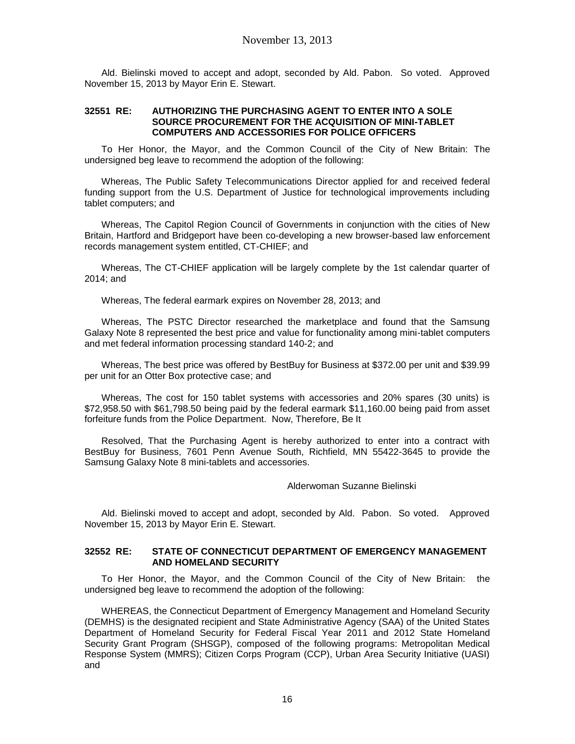Ald. Bielinski moved to accept and adopt, seconded by Ald. Pabon. So voted. Approved November 15, 2013 by Mayor Erin E. Stewart.

#### **32551 RE: AUTHORIZING THE PURCHASING AGENT TO ENTER INTO A SOLE SOURCE PROCUREMENT FOR THE ACQUISITION OF MINI-TABLET COMPUTERS AND ACCESSORIES FOR POLICE OFFICERS**

To Her Honor, the Mayor, and the Common Council of the City of New Britain: The undersigned beg leave to recommend the adoption of the following:

Whereas, The Public Safety Telecommunications Director applied for and received federal funding support from the U.S. Department of Justice for technological improvements including tablet computers; and

Whereas, The Capitol Region Council of Governments in conjunction with the cities of New Britain, Hartford and Bridgeport have been co-developing a new browser-based law enforcement records management system entitled, CT-CHIEF; and

Whereas, The CT-CHIEF application will be largely complete by the 1st calendar quarter of 2014; and

Whereas, The federal earmark expires on November 28, 2013; and

Whereas, The PSTC Director researched the marketplace and found that the Samsung Galaxy Note 8 represented the best price and value for functionality among mini-tablet computers and met federal information processing standard 140-2; and

Whereas, The best price was offered by BestBuy for Business at \$372.00 per unit and \$39.99 per unit for an Otter Box protective case; and

Whereas, The cost for 150 tablet systems with accessories and 20% spares (30 units) is \$72,958.50 with \$61,798.50 being paid by the federal earmark \$11,160.00 being paid from asset forfeiture funds from the Police Department. Now, Therefore, Be It

Resolved, That the Purchasing Agent is hereby authorized to enter into a contract with BestBuy for Business, 7601 Penn Avenue South, Richfield, MN 55422-3645 to provide the Samsung Galaxy Note 8 mini-tablets and accessories.

Alderwoman Suzanne Bielinski

Ald. Bielinski moved to accept and adopt, seconded by Ald. Pabon. So voted. Approved November 15, 2013 by Mayor Erin E. Stewart.

### **32552 RE: STATE OF CONNECTICUT DEPARTMENT OF EMERGENCY MANAGEMENT AND HOMELAND SECURITY**

To Her Honor, the Mayor, and the Common Council of the City of New Britain: the undersigned beg leave to recommend the adoption of the following:

WHEREAS, the Connecticut Department of Emergency Management and Homeland Security (DEMHS) is the designated recipient and State Administrative Agency (SAA) of the United States Department of Homeland Security for Federal Fiscal Year 2011 and 2012 State Homeland Security Grant Program (SHSGP), composed of the following programs: Metropolitan Medical Response System (MMRS); Citizen Corps Program (CCP), Urban Area Security Initiative (UASI) and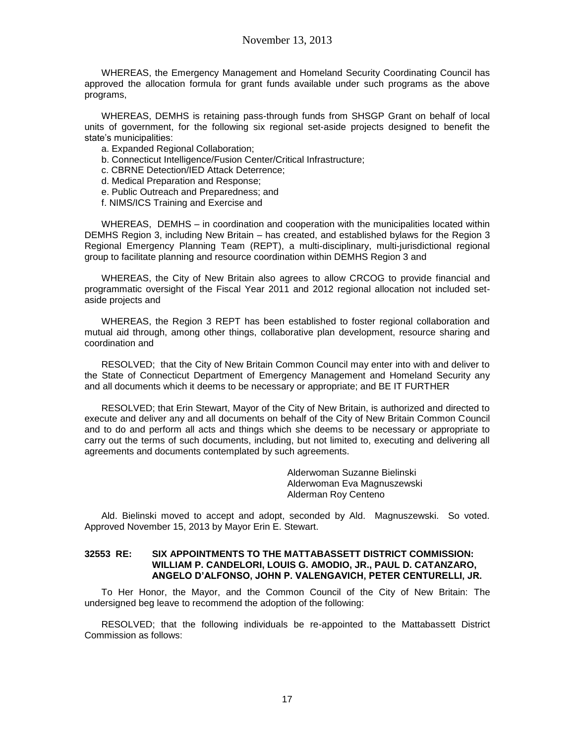WHEREAS, the Emergency Management and Homeland Security Coordinating Council has approved the allocation formula for grant funds available under such programs as the above programs,

WHEREAS, DEMHS is retaining pass-through funds from SHSGP Grant on behalf of local units of government, for the following six regional set-aside projects designed to benefit the state's municipalities:

- a. Expanded Regional Collaboration;
- b. Connecticut Intelligence/Fusion Center/Critical Infrastructure;
- c. CBRNE Detection/IED Attack Deterrence;
- d. Medical Preparation and Response;
- e. Public Outreach and Preparedness; and
- f. NIMS/ICS Training and Exercise and

WHEREAS, DEMHS – in coordination and cooperation with the municipalities located within DEMHS Region 3, including New Britain – has created, and established bylaws for the Region 3 Regional Emergency Planning Team (REPT), a multi-disciplinary, multi-jurisdictional regional group to facilitate planning and resource coordination within DEMHS Region 3 and

WHEREAS, the City of New Britain also agrees to allow CRCOG to provide financial and programmatic oversight of the Fiscal Year 2011 and 2012 regional allocation not included setaside projects and

WHEREAS, the Region 3 REPT has been established to foster regional collaboration and mutual aid through, among other things, collaborative plan development, resource sharing and coordination and

RESOLVED; that the City of New Britain Common Council may enter into with and deliver to the State of Connecticut Department of Emergency Management and Homeland Security any and all documents which it deems to be necessary or appropriate; and BE IT FURTHER

RESOLVED; that Erin Stewart, Mayor of the City of New Britain, is authorized and directed to execute and deliver any and all documents on behalf of the City of New Britain Common Council and to do and perform all acts and things which she deems to be necessary or appropriate to carry out the terms of such documents, including, but not limited to, executing and delivering all agreements and documents contemplated by such agreements.

> Alderwoman Suzanne Bielinski Alderwoman Eva Magnuszewski Alderman Roy Centeno

Ald. Bielinski moved to accept and adopt, seconded by Ald. Magnuszewski. So voted. Approved November 15, 2013 by Mayor Erin E. Stewart.

### **32553 RE: SIX APPOINTMENTS TO THE MATTABASSETT DISTRICT COMMISSION: WILLIAM P. CANDELORI, LOUIS G. AMODIO, JR., PAUL D. CATANZARO, ANGELO D'ALFONSO, JOHN P. VALENGAVICH, PETER CENTURELLI, JR.**

To Her Honor, the Mayor, and the Common Council of the City of New Britain: The undersigned beg leave to recommend the adoption of the following:

RESOLVED; that the following individuals be re-appointed to the Mattabassett District Commission as follows: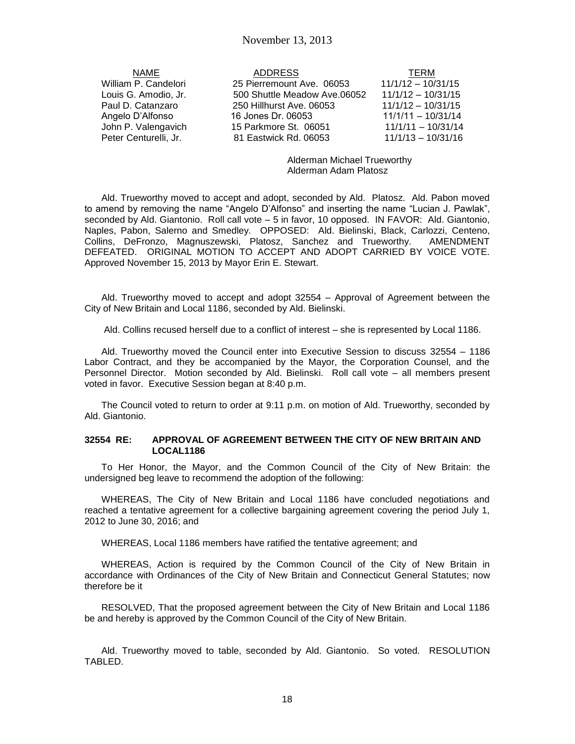| NAME                  | ADDR         |
|-----------------------|--------------|
| Villiam P. Candelori  | 25 Pierrem   |
| ouis G. Amodio, Jr.   | 500 Shuttle  |
| aul D. Catanzaro      | 250 Hillhurs |
| \ngelo D'Alfonso      | 16 Jones D   |
| ohn P. Valengavich    | 15 Parkmor   |
| 'eter Centurelli, Jr. | 81 Eastwic   |

 $\overline{\text{NAME}}$  address  $\overline{\text{IERM}}$ William P. Candelori 25 Pierremount Ave. 06053 11/1/12 – 10/31/15 Louis G. Amodio, Jr. 500 Shuttle Meadow Ave.06052 11/1/12 – 10/31/15 et Ave. 06053 11/1/12 – 10/31/15 Angelo D'Alfonso 16 Jones Dr. 06053 11/1/11 – 10/31/14 John P. Valengavich 15 Parkmore St. 06051 11/1/11 – 10/31/14 Peter Centurelli, Jr. 81 Eastwick Rd. 06053 11/1/13 – 10/31/16

> Alderman Michael Trueworthy Alderman Adam Platosz

Ald. Trueworthy moved to accept and adopt, seconded by Ald. Platosz. Ald. Pabon moved to amend by removing the name "Angelo D'Alfonso" and inserting the name "Lucian J. Pawlak", seconded by Ald. Giantonio. Roll call vote – 5 in favor, 10 opposed. IN FAVOR: Ald. Giantonio, Naples, Pabon, Salerno and Smedley. OPPOSED: Ald. Bielinski, Black, Carlozzi, Centeno, Collins, DeFronzo, Magnuszewski, Platosz, Sanchez and Trueworthy. AMENDMENT DEFEATED. ORIGINAL MOTION TO ACCEPT AND ADOPT CARRIED BY VOICE VOTE. Approved November 15, 2013 by Mayor Erin E. Stewart.

Ald. Trueworthy moved to accept and adopt 32554 – Approval of Agreement between the City of New Britain and Local 1186, seconded by Ald. Bielinski.

Ald. Collins recused herself due to a conflict of interest – she is represented by Local 1186.

Ald. Trueworthy moved the Council enter into Executive Session to discuss 32554 – 1186 Labor Contract, and they be accompanied by the Mayor, the Corporation Counsel, and the Personnel Director. Motion seconded by Ald. Bielinski. Roll call vote – all members present voted in favor. Executive Session began at 8:40 p.m.

The Council voted to return to order at 9:11 p.m. on motion of Ald. Trueworthy, seconded by Ald. Giantonio.

#### **32554 RE: APPROVAL OF AGREEMENT BETWEEN THE CITY OF NEW BRITAIN AND LOCAL1186**

To Her Honor, the Mayor, and the Common Council of the City of New Britain: the undersigned beg leave to recommend the adoption of the following:

WHEREAS, The City of New Britain and Local 1186 have concluded negotiations and reached a tentative agreement for a collective bargaining agreement covering the period July 1, 2012 to June 30, 2016; and

WHEREAS, Local 1186 members have ratified the tentative agreement; and

WHEREAS, Action is required by the Common Council of the City of New Britain in accordance with Ordinances of the City of New Britain and Connecticut General Statutes; now therefore be it

RESOLVED, That the proposed agreement between the City of New Britain and Local 1186 be and hereby is approved by the Common Council of the City of New Britain.

Ald. Trueworthy moved to table, seconded by Ald. Giantonio. So voted. RESOLUTION TABLED.